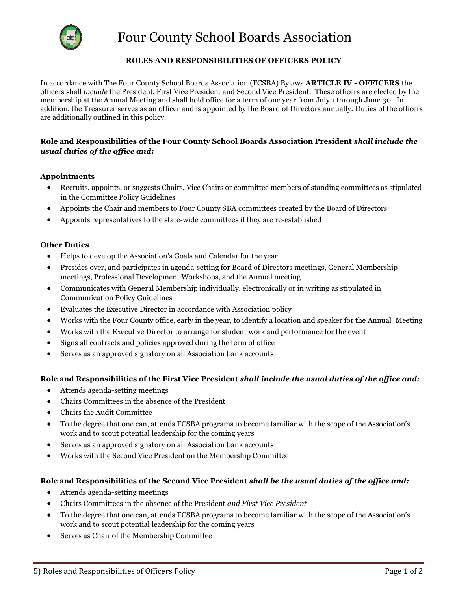

# Four County School Boards Association

# **ROLES AND RESPONSIBILITIES OF OFFICERS POLICY**

In accordance with The Four County School Boards Association (FCSBA) Bylaws **ARTICLE IV - OFFICERS** the officers shall *include* the President, First Vice President and Second Vice President. These officers are elected by the membership at the Annual Meeting and shall hold office for a term of one year from July 1 through June 30. In addition, the Treasurer serves as an officer and is appointed by the Board of Directors annually. Duties of the officers are additionally outlined in this policy.

## **Role and Responsibilities of the Four County School Boards Association President** *shall include the usual duties of the office and:*

## **Appointments**

- Recruits, appoints, or suggests Chairs, Vice Chairs or committee members of standing committees as stipulated in the Committee Policy Guidelines
- Appoints the Chair and members to Four County SBA committees created by the Board of Directors
- Appoints representatives to the state-wide committees if they are re-established

#### **Other Duties**

- Helps to develop the Association's Goals and Calendar for the year
- Presides over, and participates in agenda-setting for Board of Directors meetings, General Membership meetings, Professional Development Workshops, and the Annual meeting
- Communicates with General Membership individually, electronically or in writing as stipulated in Communication Policy Guidelines
- Evaluates the Executive Director in accordance with Association policy
- Works with the Four County office, early in the year, to identify a location and speaker for the Annual Meeting
- Works with the Executive Director to arrange for student work and performance for the event
- Signs all contracts and policies approved during the term of office
- Serves as an approved signatory on all Association bank accounts

#### **Role and Responsibilities of the First Vice President** *shall include the usual duties of the office and:*

- Attends agenda-setting meetings
- Chairs Committees in the absence of the President
- Chairs the Audit Committee
- To the degree that one can, attends FCSBA programs to become familiar with the scope of the Association's work and to scout potential leadership for the coming years
- Serves as an approved signatory on all Association bank accounts
- Works with the Second Vice President on the Membership Committee

#### **Role and Responsibilities of the Second Vice President** *shall be the usual duties of the office and:*

- Attends agenda-setting meetings
- Chairs Committees in the absence of the President *and First Vice President*
- To the degree that one can, attends FCSBA programs to become familiar with the scope of the Association's work and to scout potential leadership for the coming years
- Serves as Chair of the Membership Committee